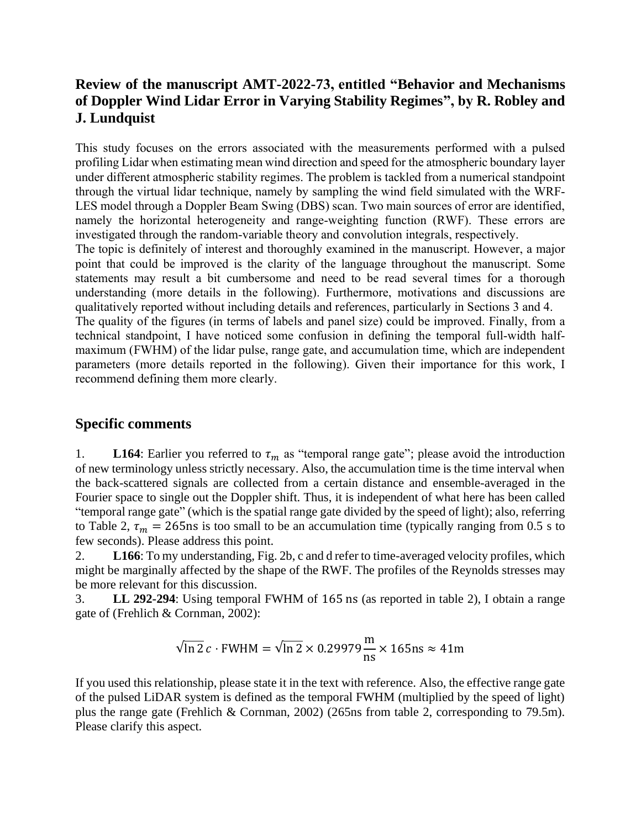## **Review of the manuscript AMT-2022-73, entitled "Behavior and Mechanisms of Doppler Wind Lidar Error in Varying Stability Regimes", by R. Robley and J. Lundquist**

This study focuses on the errors associated with the measurements performed with a pulsed profiling Lidar when estimating mean wind direction and speed for the atmospheric boundary layer under different atmospheric stability regimes. The problem is tackled from a numerical standpoint through the virtual lidar technique, namely by sampling the wind field simulated with the WRF-LES model through a Doppler Beam Swing (DBS) scan. Two main sources of error are identified, namely the horizontal heterogeneity and range-weighting function (RWF). These errors are investigated through the random-variable theory and convolution integrals, respectively.

The topic is definitely of interest and thoroughly examined in the manuscript. However, a major point that could be improved is the clarity of the language throughout the manuscript. Some statements may result a bit cumbersome and need to be read several times for a thorough understanding (more details in the following). Furthermore, motivations and discussions are qualitatively reported without including details and references, particularly in Sections 3 and 4.

The quality of the figures (in terms of labels and panel size) could be improved. Finally, from a technical standpoint, I have noticed some confusion in defining the temporal full-width halfmaximum (FWHM) of the lidar pulse, range gate, and accumulation time, which are independent parameters (more details reported in the following). Given their importance for this work, I recommend defining them more clearly.

## **Specific comments**

1. **L164**: Earlier you referred to  $\tau_m$  as "temporal range gate"; please avoid the introduction of new terminology unless strictly necessary. Also, the accumulation time is the time interval when the back-scattered signals are collected from a certain distance and ensemble-averaged in the Fourier space to single out the Doppler shift. Thus, it is independent of what here has been called "temporal range gate" (which is the spatial range gate divided by the speed of light); also, referring to Table 2,  $\tau_m = 265$ ns is too small to be an accumulation time (typically ranging from 0.5 s to few seconds). Please address this point.

2. **L166**: To my understanding, Fig. 2b, c and d refer to time-averaged velocity profiles, which might be marginally affected by the shape of the RWF. The profiles of the Reynolds stresses may be more relevant for this discussion.

3. **LL 292-294**: Using temporal FWHM of 165 ns (as reported in table 2), I obtain a range gate of (Frehlich & Cornman, 2002):

$$
\sqrt{\ln 2} \, c \cdot \text{FWHM} = \sqrt{\ln 2} \times 0.29979 \frac{\text{m}}{\text{ns}} \times 165 \text{ns} \approx 41 \text{m}
$$

If you used this relationship, please state it in the text with reference. Also, the effective range gate of the pulsed LiDAR system is defined as the temporal FWHM (multiplied by the speed of light) plus the range gate (Frehlich & Cornman, 2002) (265ns from table 2, corresponding to 79.5m). Please clarify this aspect.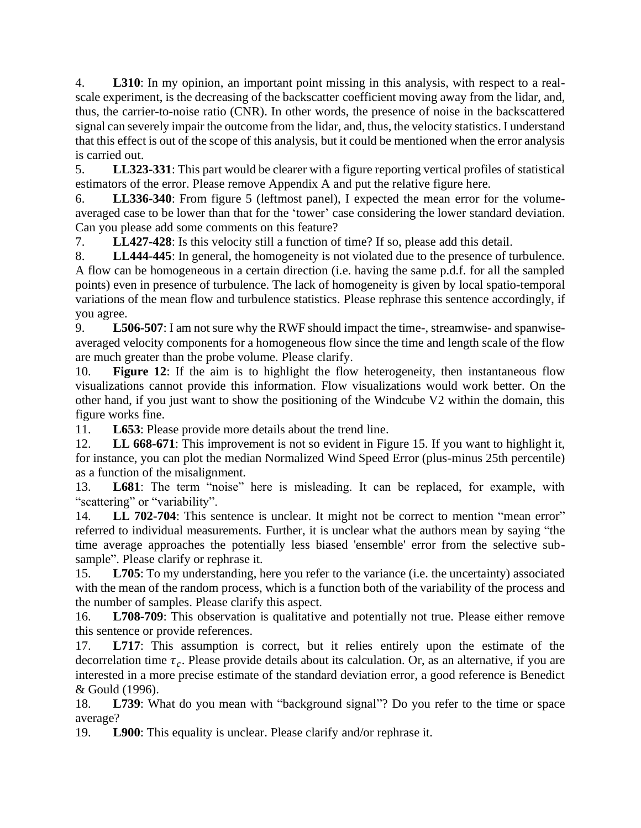4. **L310**: In my opinion, an important point missing in this analysis, with respect to a realscale experiment, is the decreasing of the backscatter coefficient moving away from the lidar, and, thus, the carrier-to-noise ratio (CNR). In other words, the presence of noise in the backscattered signal can severely impair the outcome from the lidar, and, thus, the velocity statistics. I understand that this effect is out of the scope of this analysis, but it could be mentioned when the error analysis is carried out.

5. **LL323-331**: This part would be clearer with a figure reporting vertical profiles of statistical estimators of the error. Please remove Appendix A and put the relative figure here.

6. **LL336-340**: From figure 5 (leftmost panel), I expected the mean error for the volumeaveraged case to be lower than that for the 'tower' case considering the lower standard deviation. Can you please add some comments on this feature?

7. **LL427-428**: Is this velocity still a function of time? If so, please add this detail.

8. **LL444-445**: In general, the homogeneity is not violated due to the presence of turbulence. A flow can be homogeneous in a certain direction (i.e. having the same p.d.f. for all the sampled points) even in presence of turbulence. The lack of homogeneity is given by local spatio-temporal variations of the mean flow and turbulence statistics. Please rephrase this sentence accordingly, if you agree.

9. **L506-507**: I am not sure why the RWF should impact the time-, streamwise- and spanwiseaveraged velocity components for a homogeneous flow since the time and length scale of the flow are much greater than the probe volume. Please clarify.

10. **Figure 12**: If the aim is to highlight the flow heterogeneity, then instantaneous flow visualizations cannot provide this information. Flow visualizations would work better. On the other hand, if you just want to show the positioning of the Windcube V2 within the domain, this figure works fine.

11. **L653**: Please provide more details about the trend line.

12. **LL 668-671**: This improvement is not so evident in Figure 15. If you want to highlight it, for instance, you can plot the median Normalized Wind Speed Error (plus-minus 25th percentile) as a function of the misalignment.

13. **L681**: The term "noise" here is misleading. It can be replaced, for example, with "scattering" or "variability".

14. **LL 702-704**: This sentence is unclear. It might not be correct to mention "mean error" referred to individual measurements. Further, it is unclear what the authors mean by saying "the time average approaches the potentially less biased 'ensemble' error from the selective subsample". Please clarify or rephrase it.

15. **L705**: To my understanding, here you refer to the variance (i.e. the uncertainty) associated with the mean of the random process, which is a function both of the variability of the process and the number of samples. Please clarify this aspect.

16. **L708-709**: This observation is qualitative and potentially not true. Please either remove this sentence or provide references.

17. **L717**: This assumption is correct, but it relies entirely upon the estimate of the decorrelation time  $\tau_c$ . Please provide details about its calculation. Or, as an alternative, if you are interested in a more precise estimate of the standard deviation error, a good reference is Benedict & Gould (1996).

18. **L739**: What do you mean with "background signal"? Do you refer to the time or space average?

19. **L900**: This equality is unclear. Please clarify and/or rephrase it.